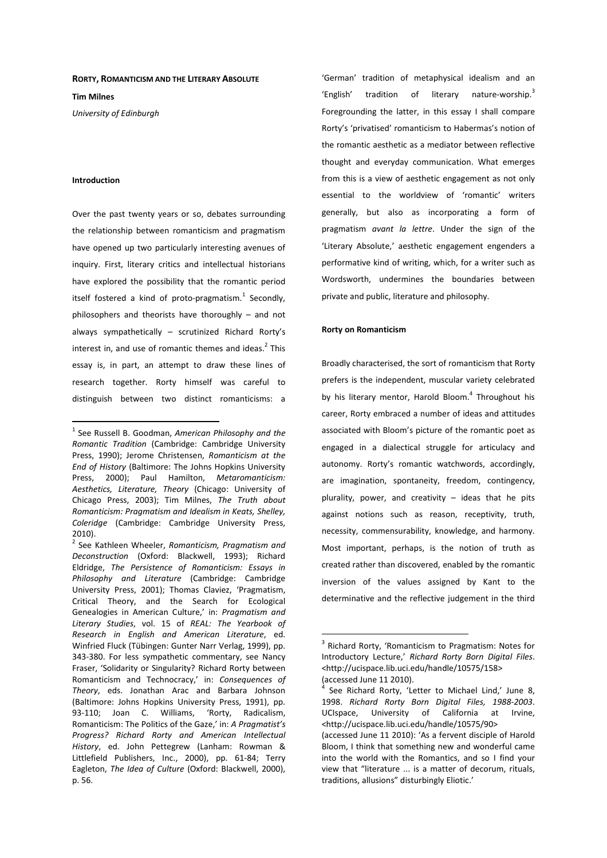#### **RORTY, ROMANTICISM AND THE LITERARY ABSOLUTE**

**Tim Milnes** 

*University of Edinburgh* 

# **Introduction**

 $\overline{a}$ 

Over the past twenty years or so, debates surrounding the relationship between romanticism and pragmatism have opened up two particularly interesting avenues of inquiry. First, literary critics and intellectual historians have explored the possibility that the romantic period itself fostered a kind of proto-pragmatism. $^{1}$  Secondly, philosophers and theorists have thoroughly – and not always sympathetically – scrutinized Richard Rorty's interest in, and use of romantic themes and ideas. $^2$  This essay is, in part, an attempt to draw these lines of research together. Rorty himself was careful to distinguish between two distinct romanticisms: a

'German' tradition of metaphysical idealism and an 'English' tradition of literary nature-worship. $3$ Foregrounding the latter, in this essay I shall compare Rorty's 'privatised' romanticism to Habermas's notion of the romantic aesthetic as a mediator between reflective thought and everyday communication. What emerges from this is a view of aesthetic engagement as not only essential to the worldview of 'romantic' writers generally, but also as incorporating a form of pragmatism *avant la lettre*. Under the sign of the 'Literary Absolute,' aesthetic engagement engenders a performative kind of writing, which, for a writer such as Wordsworth, undermines the boundaries between private and public, literature and philosophy.

# **Rorty on Romanticism**

 $\overline{a}$ 

Broadly characterised, the sort of romanticism that Rorty prefers is the independent, muscular variety celebrated by his literary mentor, Harold Bloom.<sup>4</sup> Throughout his career, Rorty embraced a number of ideas and attitudes associated with Bloom's picture of the romantic poet as engaged in a dialectical struggle for articulacy and autonomy. Rorty's romantic watchwords, accordingly, are imagination, spontaneity, freedom, contingency, plurality, power, and creativity – ideas that he pits against notions such as reason, receptivity, truth, necessity, commensurability, knowledge, and harmony. Most important, perhaps, is the notion of truth as created rather than discovered, enabled by the romantic inversion of the values assigned by Kant to the determinative and the reflective judgement in the third

<sup>1</sup> See Russell B. Goodman, *American Philosophy and the Romantic Tradition* (Cambridge: Cambridge University Press, 1990); Jerome Christensen, *Romanticism at the End of History* (Baltimore: The Johns Hopkins University Press, 2000); Paul Hamilton, *Metaromanticism: Aesthetics, Literature, Theory* (Chicago: University of Chicago Press, 2003); Tim Milnes, *The Truth about Romanticism: Pragmatism and Idealism in Keats, Shelley, Coleridge* (Cambridge: Cambridge University Press, 2010).

<sup>2</sup> See Kathleen Wheeler, *Romanticism, Pragmatism and Deconstruction* (Oxford: Blackwell, 1993); Richard Eldridge, *The Persistence of Romanticism: Essays in Philosophy and Literature* (Cambridge: Cambridge University Press, 2001); Thomas Claviez, 'Pragmatism, Critical Theory, and the Search for Ecological Genealogies in American Culture,' in: *Pragmatism and Literary Studies*, vol. 15 of *REAL: The Yearbook of Research in English and American Literature*, ed. Winfried Fluck (Tübingen: Gunter Narr Verlag, 1999), pp. 343-380. For less sympathetic commentary, see Nancy Fraser, 'Solidarity or Singularity? Richard Rorty between Romanticism and Technocracy,' in: *Consequences of Theory*, eds. Jonathan Arac and Barbara Johnson (Baltimore: Johns Hopkins University Press, 1991), pp. 93-110; Joan C. Williams, 'Rorty, Radicalism, Romanticism: The Politics of the Gaze,' in: *A Pragmatist's Progress? Richard Rorty and American Intellectual History*, ed. John Pettegrew (Lanham: Rowman & Littlefield Publishers, Inc., 2000), pp. 61-84; Terry Eagleton, *The Idea of Culture* (Oxford: Blackwell, 2000), p. 56.

<sup>&</sup>lt;sup>3</sup> Richard Rorty, 'Romanticism to Pragmatism: Notes for Introductory Lecture,' *Richard Rorty Born Digital Files*. <http://ucispace.lib.uci.edu/handle/10575/158> (accessed June 11 2010).

<sup>&</sup>lt;sup>4</sup> See Richard Rorty, 'Letter to Michael Lind,' June 8, 1998. *Richard Rorty Born Digital Files, 1988-2003*. UCIspace, University of California at Irvine, <http://ucispace.lib.uci.edu/handle/10575/90> (accessed June 11 2010): 'As a fervent disciple of Harold

Bloom, I think that something new and wonderful came into the world with the Romantics, and so I find your view that "literature ... is a matter of decorum, rituals, traditions, allusions" disturbingly Eliotic.'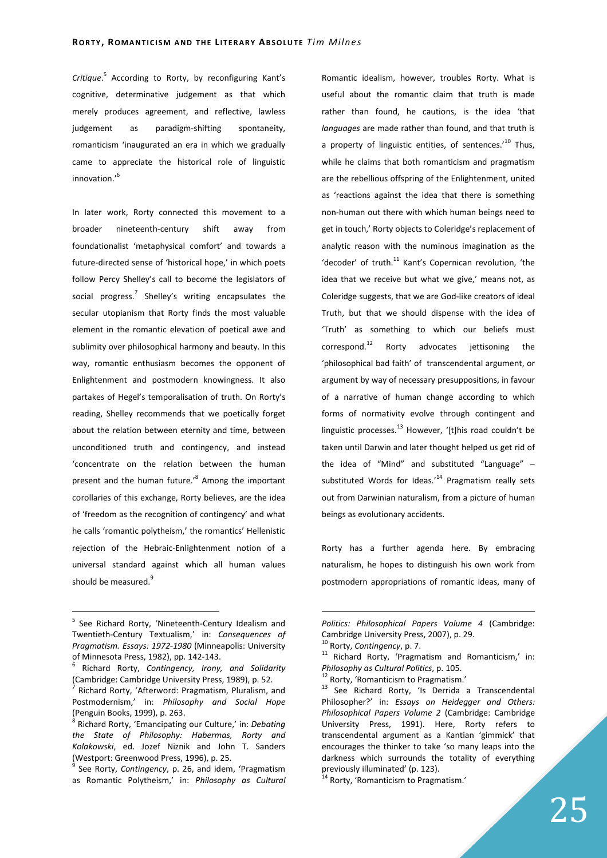*Critique*. 5 According to Rorty, by reconfiguring Kant's cognitive, determinative judgement as that which merely produces agreement, and reflective, lawless judgement as paradigm-shifting spontaneity, romanticism 'inaugurated an era in which we gradually came to appreciate the historical role of linguistic innovation.'<sup>6</sup>

In later work, Rorty connected this movement to a broader nineteenth-century shift away from foundationalist 'metaphysical comfort' and towards a future-directed sense of 'historical hope,' in which poets follow Percy Shelley's call to become the legislators of social progress.<sup>7</sup> Shelley's writing encapsulates the secular utopianism that Rorty finds the most valuable element in the romantic elevation of poetical awe and sublimity over philosophical harmony and beauty. In this way, romantic enthusiasm becomes the opponent of Enlightenment and postmodern knowingness. It also partakes of Hegel's temporalisation of truth. On Rorty's reading, Shelley recommends that we poetically forget about the relation between eternity and time, between unconditioned truth and contingency, and instead 'concentrate on the relation between the human present and the human future.<sup>8</sup> Among the important corollaries of this exchange, Rorty believes, are the idea of 'freedom as the recognition of contingency' and what he calls 'romantic polytheism,' the romantics' Hellenistic rejection of the Hebraic-Enlightenment notion of a universal standard against which all human values should be measured.<sup>9</sup>

 $\overline{a}$ 

Romantic idealism, however, troubles Rorty. What is useful about the romantic claim that truth is made rather than found, he cautions, is the idea 'that *languages* are made rather than found, and that truth is a property of linguistic entities, of sentences.<sup>'10</sup> Thus, while he claims that both romanticism and pragmatism are the rebellious offspring of the Enlightenment, united as 'reactions against the idea that there is something non-human out there with which human beings need to get in touch,' Rorty objects to Coleridge's replacement of analytic reason with the numinous imagination as the 'decoder' of truth. $^{11}$  Kant's Copernican revolution, 'the idea that we receive but what we give,' means not, as Coleridge suggests, that we are God-like creators of ideal Truth, but that we should dispense with the idea of 'Truth' as something to which our beliefs must correspond. $12$  Rorty advocates jettisoning the 'philosophical bad faith' of transcendental argument, or argument by way of necessary presuppositions, in favour of a narrative of human change according to which forms of normativity evolve through contingent and linguistic processes.<sup>13</sup> However, '[t]his road couldn't be taken until Darwin and later thought helped us get rid of the idea of "Mind" and substituted "Language" – substituted Words for Ideas. $14$  Pragmatism really sets out from Darwinian naturalism, from a picture of human beings as evolutionary accidents.

Rorty has a further agenda here. By embracing naturalism, he hopes to distinguish his own work from postmodern appropriations of romantic ideas, many of

<sup>&</sup>lt;sup>5</sup> See Richard Rorty, 'Nineteenth-Century Idealism and Twentieth-Century Textualism,' in: *Consequences of Pragmatism. Essays: 1972-1980* (Minneapolis: University of Minnesota Press, 1982), pp. 142-143.

<sup>6</sup> Richard Rorty, *Contingency, Irony, and Solidarity* (Cambridge: Cambridge University Press, 1989), p. 52.

<sup>&</sup>lt;sup>7</sup> Richard Rorty, 'Afterword: Pragmatism, Pluralism, and Postmodernism,' in: *Philosophy and Social Hope*  (Penguin Books, 1999), p. 263.

<sup>8</sup> Richard Rorty, 'Emancipating our Culture,' in: *Debating the State of Philosophy: Habermas, Rorty and Kolakowski*, ed. Jozef Niznik and John T. Sanders (Westport: Greenwood Press, 1996), p. 25.

<sup>&</sup>lt;sup>9</sup> See Rorty, *Contingency*, p. 26, and idem, 'Pragmatism as Romantic Polytheism,' in: *Philosophy as Cultural* 

*Politics: Philosophical Papers Volume 4* (Cambridge: Cambridge University Press, 2007), p. 29.

<sup>10</sup> Rorty, *Contingency*, p. 7.

<sup>11</sup> Richard Rorty, 'Pragmatism and Romanticism,' in: *Philosophy as Cultural Politics*, p. 105.

<sup>&</sup>lt;sup>12</sup> Rorty, 'Romanticism to Pragmatism.'

<sup>13</sup> See Richard Rorty, 'Is Derrida a Transcendental Philosopher?' in: *Essays on Heidegger and Others: Philosophical Papers Volume 2* (Cambridge: Cambridge University Press, 1991). Here, Rorty refers to transcendental argument as a Kantian 'gimmick' that encourages the thinker to take 'so many leaps into the darkness which surrounds the totality of everything previously illuminated' (p. 123).

<sup>&</sup>lt;sup>14</sup> Rorty, 'Romanticism to Pragmatism.'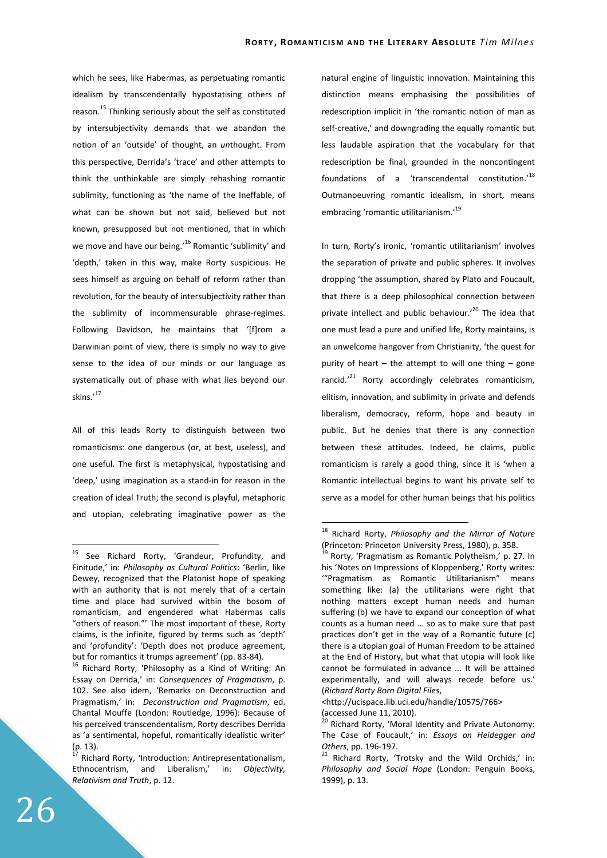which he sees, like Habermas, as perpetuating romantic idealism by transcendentally hypostatising others of reason.<sup>15</sup> Thinking seriously about the self as constituted by intersubjectivity demands that we abandon the notion of an 'outside' of thought, an *un*thought. From this perspective, Derrida's 'trace' and other attempts to think the unthinkable are simply rehashing romantic sublimity, functioning as 'the name of the Ineffable, of what can be shown but not said, believed but not known, presupposed but not mentioned, that in which we move and have our being.<sup>16</sup> Romantic 'sublimity' and 'depth,' taken in this way, make Rorty suspicious. He sees himself as arguing on behalf of reform rather than revolution, for the beauty of intersubjectivity rather than the sublimity of incommensurable phrase-regimes. Following Davidson, he maintains that '[f]rom a Darwinian point of view, there is simply no way to give sense to the idea of our minds or our language as systematically out of phase with what lies beyond our skins.'<sup>17</sup>

All of this leads Rorty to distinguish between two romanticisms: one dangerous (or, at best, useless), and one useful. The first is metaphysical, hypostatising and 'deep,' using imagination as a stand-in for reason in the creation of ideal Truth; the second is playful, metaphoric and utopian, celebrating imaginative power as the natural engine of linguistic innovation. Maintaining this distinction means emphasising the possibilities of redescription implicit in 'the romantic notion of man as self-creative,' and downgrading the equally romantic but less laudable aspiration that the vocabulary for that redescription be final, grounded in the noncontingent foundations of a 'transcendental constitution.'<sup>18</sup> Outmanoeuvring romantic idealism, in short, means embracing 'romantic utilitarianism.'<sup>19</sup>

In turn, Rorty's ironic, 'romantic utilitarianism' involves the separation of private and public spheres. It involves dropping 'the assumption, shared by Plato and Foucault, that there is a deep philosophical connection between private intellect and public behaviour.<sup>'20</sup> The idea that one must lead a pure and unified life, Rorty maintains, is an unwelcome hangover from Christianity, 'the quest for purity of heart – the attempt to will one thing – gone rancid.<sup>'21</sup> Rorty accordingly celebrates romanticism, elitism, innovation, and sublimity in private and defends liberalism, democracy, reform, hope and beauty in public. But he denies that there is any connection between these attitudes. Indeed, he claims, public romanticism is rarely a good thing, since it is 'when a Romantic intellectual begins to want his private self to serve as a model for other human beings that his politics

 $\overline{a}$ 

<http://ucispace.lib.uci.edu/handle/10575/766> (accessed June 11, 2010).

<sup>15</sup> See Richard Rorty, 'Grandeur, Profundity, and Finitude,' in: *Philosophy as Cultural Politics***:** 'Berlin, like Dewey, recognized that the Platonist hope of speaking with an authority that is not merely that of a certain time and place had survived within the bosom of romanticism, and engendered what Habermas calls "others of reason."' The most important of these, Rorty claims, is the infinite, figured by terms such as 'depth' and 'profundity': 'Depth does not produce agreement, but for romantics it trumps agreement' (pp. 83-84).

<sup>&</sup>lt;sup>16</sup> Richard Rorty, 'Philosophy as a Kind of Writing: An Essay on Derrida,' in: *Consequences of Pragmatism*, p. 102. See also idem, 'Remarks on Deconstruction and Pragmatism,' in: *Deconstruction and Pragmatism*, ed. Chantal Mouffe (London: Routledge, 1996): Because of his perceived transcendentalism, Rorty describes Derrida as 'a sentimental, hopeful, romantically idealistic writer' (p. 13).

Richard Rorty, 'Introduction: Antirepresentationalism, Ethnocentrism, and Liberalism,' in: *Objectivity, Relativism and Truth*, p. 12.

<sup>18</sup> Richard Rorty, *Philosophy and the Mirror of Nature* (Princeton: Princeton University Press, 1980), p. 358.

<sup>&</sup>lt;sup>19</sup> Rorty, 'Pragmatism as Romantic Polytheism,' p. 27. In his 'Notes on Impressions of Kloppenberg,' Rorty writes: '"Pragmatism as Romantic Utilitarianism" means something like: (a) the utilitarians were right that nothing matters except human needs and human suffering (b) we have to expand our conception of what counts as a human need ... so as to make sure that past practices don't get in the way of a Romantic future (c) there is a utopian goal of Human Freedom to be attained at the End of History, but what that utopia will look like cannot be formulated in advance ... It will be attained experimentally, and will always recede before us.' (*Richard Rorty Born Digital Files*,

<sup>&</sup>lt;sup>20</sup> Richard Rorty, 'Moral Identity and Private Autonomy: The Case of Foucault,' in: *Essays on Heidegger and Others*, pp. 196-197.

 $21$  Richard Rorty, 'Trotsky and the Wild Orchids,' in: *Philosophy and Social Hope* (London: Penguin Books, 1999), p. 13.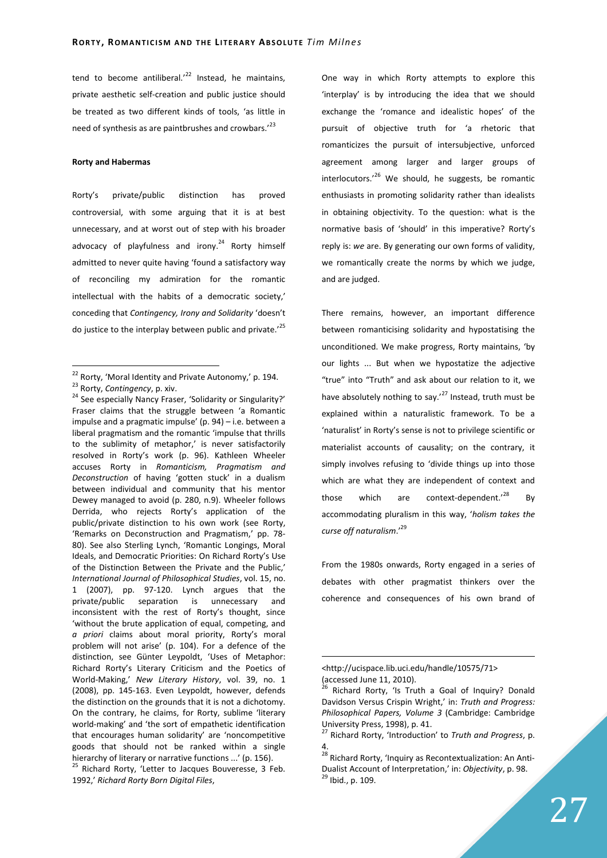tend to become antiliberal. $12<sup>22</sup>$  Instead, he maintains, private aesthetic self-creation and public justice should be treated as two different kinds of tools, 'as little in need of synthesis as are paintbrushes and crowbars.'<sup>23</sup>

## **Rorty and Habermas**

 $\overline{a}$ 

Rorty's private/public distinction has proved controversial, with some arguing that it is at best unnecessary, and at worst out of step with his broader advocacy of playfulness and irony. $24$  Rorty himself admitted to never quite having 'found a satisfactory way of reconciling my admiration for the romantic intellectual with the habits of a democratic society,' conceding that *Contingency, Irony and Solidarity* 'doesn't do justice to the interplay between public and private.<sup>'25</sup>

<sup>25</sup> Richard Rorty, 'Letter to Jacques Bouveresse, 3 Feb. 1992,' *Richard Rorty Born Digital Files*,

One way in which Rorty attempts to explore this 'interplay' is by introducing the idea that we should exchange the 'romance and idealistic hopes' of the pursuit of objective truth for 'a rhetoric that romanticizes the pursuit of intersubjective, unforced agreement among larger and larger groups of interlocutors.<sup>'26</sup> We should, he suggests, be romantic enthusiasts in promoting solidarity rather than idealists in obtaining objectivity. To the question: what is the normative basis of 'should' in this imperative? Rorty's reply is: *we* are. By generating our own forms of validity, we romantically create the norms by which we judge, and are judged.

There remains, however, an important difference between romanticising solidarity and hypostatising the unconditioned. We make progress, Rorty maintains, 'by our lights ... But when we hypostatize the adjective "true" into "Truth" and ask about our relation to it, we have absolutely nothing to say.<sup>'27</sup> Instead, truth must be explained within a naturalistic framework. To be a 'naturalist' in Rorty's sense is not to privilege scientific or materialist accounts of causality; on the contrary, it simply involves refusing to 'divide things up into those which are what they are independent of context and those which are context-dependent.<sup>'28</sup> By accommodating pluralism in this way, '*holism takes the curse off naturalism*.'<sup>29</sup>

From the 1980s onwards, Rorty engaged in a series of debates with other pragmatist thinkers over the coherence and consequences of his own brand of

 $22$  Rorty, 'Moral Identity and Private Autonomy,' p. 194. <sup>23</sup> Rorty, *Contingency*, p. xiv.

<sup>&</sup>lt;sup>24</sup> See especially Nancy Fraser, 'Solidarity or Singularity?' Fraser claims that the struggle between 'a Romantic impulse and a pragmatic impulse' (p. 94) – i.e. between a liberal pragmatism and the romantic 'impulse that thrills to the sublimity of metaphor,' is never satisfactorily resolved in Rorty's work (p. 96). Kathleen Wheeler accuses Rorty in *Romanticism, Pragmatism and Deconstruction* of having 'gotten stuck' in a dualism between individual and community that his mentor Dewey managed to avoid (p. 280, n.9). Wheeler follows Derrida, who rejects Rorty's application of the public/private distinction to his own work (see Rorty, 'Remarks on Deconstruction and Pragmatism,' pp. 78- 80). See also Sterling Lynch, 'Romantic Longings, Moral Ideals, and Democratic Priorities: On Richard Rorty's Use of the Distinction Between the Private and the Public,' *International Journal of Philosophical Studies*, vol. 15, no. 1 (2007), pp. 97-120. Lynch argues that the private/public separation is unnecessary and inconsistent with the rest of Rorty's thought, since 'without the brute application of equal, competing, and *a priori* claims about moral priority, Rorty's moral problem will not arise' (p. 104). For a defence of the distinction, see Günter Leypoldt, 'Uses of Metaphor: Richard Rorty's Literary Criticism and the Poetics of World-Making,' *New Literary History*, vol. 39, no. 1 (2008), pp. 145-163. Even Leypoldt, however, defends the distinction on the grounds that it is not a dichotomy. On the contrary, he claims, for Rorty, sublime 'literary world-making' and 'the sort of empathetic identification that encourages human solidarity' are 'noncompetitive goods that should not be ranked within a single hierarchy of literary or narrative functions ...' (p. 156).

<sup>&</sup>lt;http://ucispace.lib.uci.edu/handle/10575/71> (accessed June 11, 2010).

<sup>&</sup>lt;sup>26</sup> Richard Rorty, 'Is Truth a Goal of Inquiry? Donald Davidson Versus Crispin Wright,' in: *Truth and Progress: Philosophical Papers, Volume 3* (Cambridge: Cambridge University Press, 1998), p. 41.

<sup>27</sup> Richard Rorty, 'Introduction' to *Truth and Progress*, p. 4.

<sup>&</sup>lt;sup>28</sup> Richard Rorty, 'Inquiry as Recontextualization: An Anti-Dualist Account of Interpretation,' in: *Objectivity*, p. 98. <sup>29</sup> Ibid., p. 109.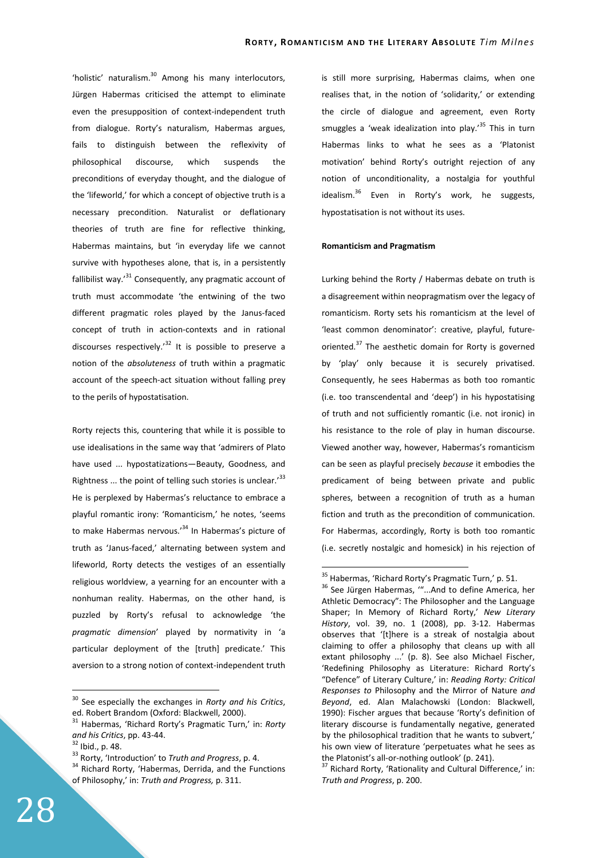'holistic' naturalism.<sup>30</sup> Among his many interlocutors, Jürgen Habermas criticised the attempt to eliminate even the presupposition of context-independent truth from dialogue. Rorty's naturalism, Habermas argues, fails to distinguish between the reflexivity of philosophical discourse, which suspends the preconditions of everyday thought, and the dialogue of the 'lifeworld,' for which a concept of objective truth is a necessary precondition. Naturalist or deflationary theories of truth are fine for reflective thinking, Habermas maintains, but 'in everyday life we cannot survive with hypotheses alone, that is, in a persistently fallibilist way. $31$  Consequently, any pragmatic account of truth must accommodate 'the entwining of the two different pragmatic roles played by the Janus-faced concept of truth in action-contexts and in rational discourses respectively.<sup>32</sup> It is possible to preserve a notion of the *absoluteness* of truth within a pragmatic account of the speech-act situation without falling prey to the perils of hypostatisation.

Rorty rejects this, countering that while it is possible to use idealisations in the same way that 'admirers of Plato have used ... hypostatizations—Beauty, Goodness, and Rightness  $\ldots$  the point of telling such stories is unclear.<sup>33</sup> He is perplexed by Habermas's reluctance to embrace a playful romantic irony: 'Romanticism,' he notes, 'seems to make Habermas nervous.<sup>34</sup> In Habermas's picture of truth as 'Janus-faced,' alternating between system and lifeworld, Rorty detects the vestiges of an essentially religious worldview, a yearning for an encounter with a nonhuman reality. Habermas, on the other hand, is puzzled by Rorty's refusal to acknowledge 'the *pragmatic dimension*' played by normativity in 'a particular deployment of the [truth] predicate.' This aversion to a strong notion of context-independent truth

 $\overline{a}$ 

is still more surprising, Habermas claims, when one realises that, in the notion of 'solidarity,' or extending the circle of dialogue and agreement, even Rorty smuggles a 'weak idealization into play.'<sup>35</sup> This in turn Habermas links to what he sees as a 'Platonist motivation' behind Rorty's outright rejection of any notion of unconditionality, a nostalgia for youthful idealism.<sup>36</sup> Even in Rorty's work, he suggests, hypostatisation is not without its uses.

### **Romanticism and Pragmatism**

Lurking behind the Rorty / Habermas debate on truth is a disagreement within neopragmatism over the legacy of romanticism. Rorty sets his romanticism at the level of 'least common denominator': creative, playful, futureoriented.<sup>37</sup> The aesthetic domain for Rorty is governed by 'play' only because it is securely privatised. Consequently, he sees Habermas as both too romantic (i.e. too transcendental and 'deep') in his hypostatising of truth and not sufficiently romantic (i.e. not ironic) in his resistance to the role of play in human discourse. Viewed another way, however, Habermas's romanticism can be seen as playful precisely *because* it embodies the predicament of being between private and public spheres, between a recognition of truth as a human fiction and truth as the precondition of communication. For Habermas, accordingly, Rorty is both too romantic (i.e. secretly nostalgic and homesick) in his rejection of

<sup>30</sup> See especially the exchanges in *Rorty and his Critics*, ed. Robert Brandom (Oxford: Blackwell, 2000).

<sup>31</sup> Habermas, 'Richard Rorty's Pragmatic Turn,' in: *Rorty and his Critics*, pp. 43-44.

 $32$  Ibid., p. 48.

<sup>33</sup> Rorty, 'Introduction' to *Truth and Progress*, p. 4.

<sup>&</sup>lt;sup>34</sup> Richard Rorty, 'Habermas, Derrida, and the Functions of Philosophy,' in: *Truth and Progress,* p. 311.

 $35$  Habermas, 'Richard Rorty's Pragmatic Turn,' p. 51.

<sup>&</sup>lt;sup>36</sup> See Jürgen Habermas, "...And to define America, her Athletic Democracy": The Philosopher and the Language Shaper; In Memory of Richard Rorty,' *New Literary History*, vol. 39, no. 1 (2008), pp. 3-12. Habermas observes that '[t]here is a streak of nostalgia about claiming to offer a philosophy that cleans up with all extant philosophy ...' (p. 8). See also Michael Fischer, 'Redefining Philosophy as Literature: Richard Rorty's "Defence" of Literary Culture,' in: *Reading Rorty: Critical Responses to* Philosophy and the Mirror of Nature *and Beyond*, ed. Alan Malachowski (London: Blackwell, 1990): Fischer argues that because 'Rorty's definition of literary discourse is fundamentally negative, generated by the philosophical tradition that he wants to subvert,' his own view of literature 'perpetuates what he sees as the Platonist's all-or-nothing outlook' (p. 241).

 $37$  Richard Rorty, 'Rationality and Cultural Difference,' in: *Truth and Progress*, p. 200.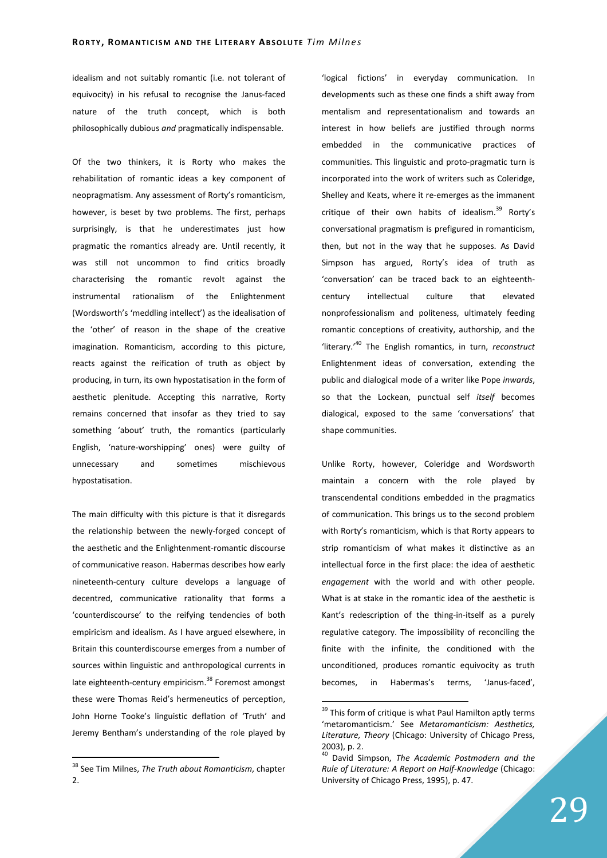idealism and not suitably romantic (i.e. not tolerant of equivocity) in his refusal to recognise the Janus-faced nature of the truth concept, which is both philosophically dubious *and* pragmatically indispensable.

Of the two thinkers, it is Rorty who makes the rehabilitation of romantic ideas a key component of neopragmatism. Any assessment of Rorty's romanticism, however, is beset by two problems. The first, perhaps surprisingly, is that he underestimates just how pragmatic the romantics already are. Until recently, it was still not uncommon to find critics broadly characterising the romantic revolt against the instrumental rationalism of the Enlightenment (Wordsworth's 'meddling intellect') as the idealisation of the 'other' of reason in the shape of the creative imagination. Romanticism, according to this picture, reacts against the reification of truth as object by producing, in turn, its own hypostatisation in the form of aesthetic plenitude. Accepting this narrative, Rorty remains concerned that insofar as they tried to say something 'about' truth, the romantics (particularly English, 'nature-worshipping' ones) were guilty of unnecessary and sometimes mischievous hypostatisation.

The main difficulty with this picture is that it disregards the relationship between the newly-forged concept of the aesthetic and the Enlightenment-romantic discourse of communicative reason. Habermas describes how early nineteenth-century culture develops a language of decentred, communicative rationality that forms a 'counterdiscourse' to the reifying tendencies of both empiricism and idealism. As I have argued elsewhere, in Britain this counterdiscourse emerges from a number of sources within linguistic and anthropological currents in late eighteenth-century empiricism.<sup>38</sup> Foremost amongst these were Thomas Reid's hermeneutics of perception, John Horne Tooke's linguistic deflation of 'Truth' and Jeremy Bentham's understanding of the role played by

 $\overline{a}$ 

'logical fictions' in everyday communication. In developments such as these one finds a shift away from mentalism and representationalism and towards an interest in how beliefs are justified through norms embedded in the communicative practices of communities. This linguistic and proto-pragmatic turn is incorporated into the work of writers such as Coleridge, Shelley and Keats, where it re-emerges as the immanent critique of their own habits of idealism. $39$  Rorty's conversational pragmatism is prefigured in romanticism, then, but not in the way that he supposes. As David Simpson has argued, Rorty's idea of truth as 'conversation' can be traced back to an eighteenthcentury intellectual culture that elevated nonprofessionalism and politeness, ultimately feeding romantic conceptions of creativity, authorship, and the 'literary.'<sup>40</sup> The English romantics, in turn, *reconstruct* Enlightenment ideas of conversation, extending the public and dialogical mode of a writer like Pope *inwards*, so that the Lockean, punctual self *itself* becomes dialogical, exposed to the same 'conversations' that shape communities.

Unlike Rorty, however, Coleridge and Wordsworth maintain a concern with the role played by transcendental conditions embedded in the pragmatics of communication. This brings us to the second problem with Rorty's romanticism, which is that Rorty appears to strip romanticism of what makes it distinctive as an intellectual force in the first place: the idea of aesthetic *engagement* with the world and with other people. What is at stake in the romantic idea of the aesthetic is Kant's redescription of the thing-in-itself as a purely regulative category. The impossibility of reconciling the finite with the infinite, the conditioned with the unconditioned, produces romantic equivocity as truth becomes, in Habermas's terms, 'Janus-faced',

<sup>38</sup> See Tim Milnes, *The Truth about Romanticism*, chapter 2.

 $39$  This form of critique is what Paul Hamilton aptly terms 'metaromanticism.' See *Metaromanticism: Aesthetics, Literature, Theory* (Chicago: University of Chicago Press, 2003), p. 2.

<sup>40</sup> David Simpson, *The Academic Postmodern and the Rule of Literature: A Report on Half-Knowledge* (Chicago: University of Chicago Press, 1995), p. 47.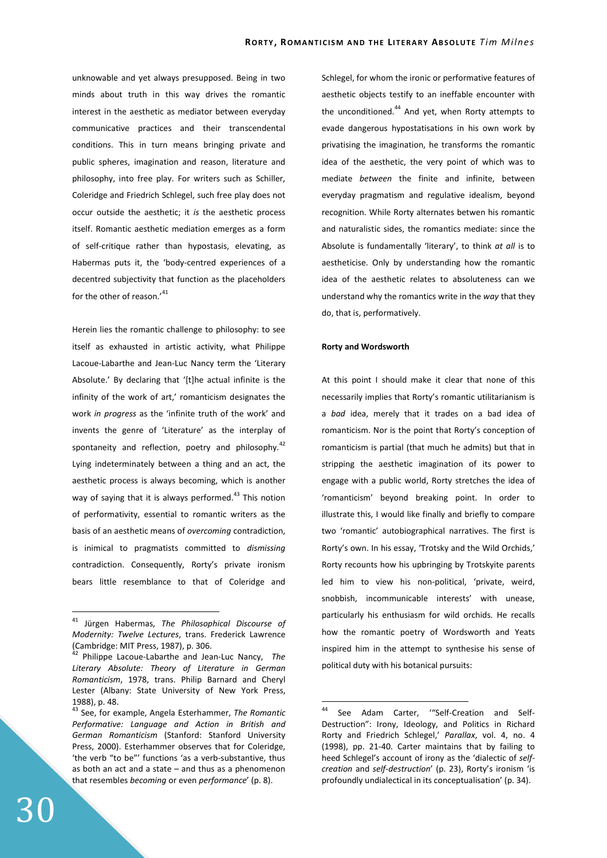unknowable and yet always presupposed. Being in two minds about truth in this way drives the romantic interest in the aesthetic as mediator between everyday communicative practices and their transcendental conditions. This in turn means bringing private and public spheres, imagination and reason, literature and philosophy, into free play. For writers such as Schiller, Coleridge and Friedrich Schlegel, such free play does not occur outside the aesthetic; it *is* the aesthetic process itself. Romantic aesthetic mediation emerges as a form of self-critique rather than hypostasis, elevating, as Habermas puts it, the 'body-centred experiences of a decentred subjectivity that function as the placeholders for the other of reason.'<sup>41</sup>

Herein lies the romantic challenge to philosophy: to see itself as exhausted in artistic activity, what Philippe Lacoue-Labarthe and Jean-Luc Nancy term the 'Literary Absolute.' By declaring that '[t]he actual infinite is the infinity of the work of art,' romanticism designates the work *in progress* as the 'infinite truth of the work' and invents the genre of 'Literature' as the interplay of spontaneity and reflection, poetry and philosophy. $42$ Lying indeterminately between a thing and an act, the aesthetic process is always becoming, which is another way of saying that it is always performed.<sup>43</sup> This notion of performativity, essential to romantic writers as the basis of an aesthetic means of *overcoming* contradiction, is inimical to pragmatists committed to *dismissing* contradiction. Consequently, Rorty's private ironism bears little resemblance to that of Coleridge and Schlegel, for whom the ironic or performative features of aesthetic objects testify to an ineffable encounter with the unconditioned.<sup>44</sup> And yet, when Rorty attempts to evade dangerous hypostatisations in his own work by privatising the imagination, he transforms the romantic idea of the aesthetic, the very point of which was to mediate *between* the finite and infinite, between everyday pragmatism and regulative idealism, beyond recognition. While Rorty alternates betwen his romantic and naturalistic sides, the romantics mediate: since the Absolute is fundamentally 'literary', to think *at all* is to aestheticise. Only by understanding how the romantic idea of the aesthetic relates to absoluteness can we understand why the romantics write in the *way* that they do, that is, performatively.

#### **Rorty and Wordsworth**

 $\overline{a}$ 

At this point I should make it clear that none of this necessarily implies that Rorty's romantic utilitarianism is a *bad* idea, merely that it trades on a bad idea of romanticism. Nor is the point that Rorty's conception of romanticism is partial (that much he admits) but that in stripping the aesthetic imagination of its power to engage with a public world, Rorty stretches the idea of 'romanticism' beyond breaking point. In order to illustrate this, I would like finally and briefly to compare two 'romantic' autobiographical narratives. The first is Rorty's own. In his essay, 'Trotsky and the Wild Orchids,' Rorty recounts how his upbringing by Trotskyite parents led him to view his non-political, 'private, weird, snobbish, incommunicable interests' with unease, particularly his enthusiasm for wild orchids. He recalls how the romantic poetry of Wordsworth and Yeats inspired him in the attempt to synthesise his sense of political duty with his botanical pursuits:

<sup>41</sup> Jürgen Habermas, *The Philosophical Discourse of Modernity: Twelve Lectures*, trans. Frederick Lawrence (Cambridge: MIT Press, 1987), p. 306.

<sup>42</sup> Philippe Lacoue-Labarthe and Jean-Luc Nancy, *The Literary Absolute: Theory of Literature in German Romanticism*, 1978, trans. Philip Barnard and Cheryl Lester (Albany: State University of New York Press, 1988), p. 48.

<sup>43</sup> See, for example, Angela Esterhammer, *The Romantic Performative: Language and Action in British and German Romanticism* (Stanford: Stanford University Press, 2000). Esterhammer observes that for Coleridge, 'the verb "to be"' functions 'as a verb-substantive, thus as both an act and a state – and thus as a phenomenon that resembles *becoming* or even *performance*' (p. 8).

<sup>44</sup> See Adam Carter, '"Self-Creation and Self-Destruction": Irony, Ideology, and Politics in Richard Rorty and Friedrich Schlegel,' *Parallax*, vol. 4, no. 4 (1998), pp. 21-40. Carter maintains that by failing to heed Schlegel's account of irony as the 'dialectic of *selfcreation* and *self-destruction*' (p. 23), Rorty's ironism 'is profoundly undialectical in its conceptualisation' (p. 34).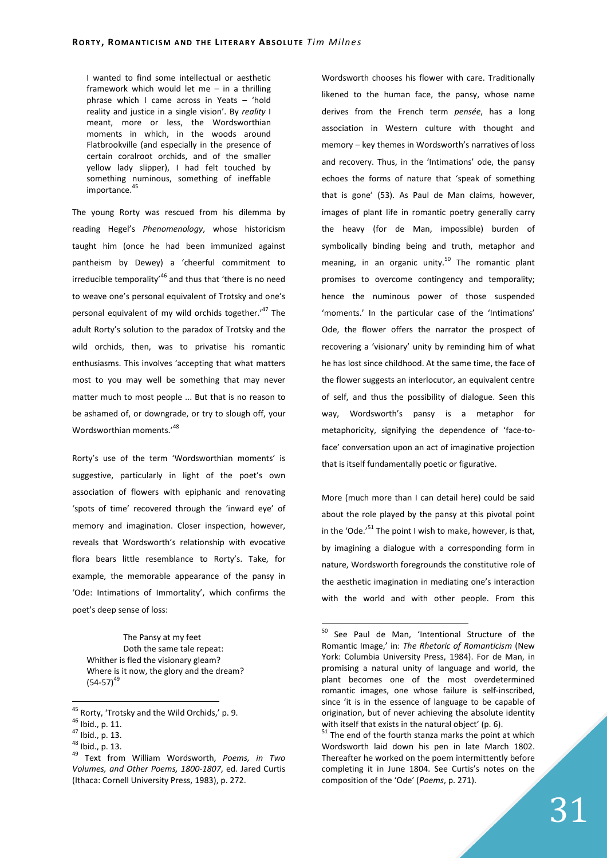I wanted to find some intellectual or aesthetic framework which would let me – in a thrilling phrase which I came across in Yeats – 'hold reality and justice in a single vision'. By *reality* I meant, more or less, the Wordsworthian moments in which, in the woods around Flatbrookville (and especially in the presence of certain coralroot orchids, and of the smaller yellow lady slipper), I had felt touched by something numinous, something of ineffable importance.<sup>4</sup>

The young Rorty was rescued from his dilemma by reading Hegel's *Phenomenology*, whose historicism taught him (once he had been immunized against pantheism by Dewey) a 'cheerful commitment to irreducible temporality<sup>46</sup> and thus that 'there is no need to weave one's personal equivalent of Trotsky and one's personal equivalent of my wild orchids together.<sup>47</sup> The adult Rorty's solution to the paradox of Trotsky and the wild orchids, then, was to privatise his romantic enthusiasms. This involves 'accepting that what matters most to you may well be something that may never matter much to most people ... But that is no reason to be ashamed of, or downgrade, or try to slough off, your Wordsworthian moments.'<sup>48</sup>

Rorty's use of the term 'Wordsworthian moments' is suggestive, particularly in light of the poet's own association of flowers with epiphanic and renovating 'spots of time' recovered through the 'inward eye' of memory and imagination. Closer inspection, however, reveals that Wordsworth's relationship with evocative flora bears little resemblance to Rorty's. Take, for example, the memorable appearance of the pansy in 'Ode: Intimations of Immortality', which confirms the poet's deep sense of loss:

The Pansy at my feet Doth the same tale repeat: Whither is fled the visionary gleam? Where is it now, the glory and the dream?  $(54-57)^{49}$ 

 $\overline{a}$ 

Wordsworth chooses his flower with care. Traditionally likened to the human face, the pansy, whose name derives from the French term *pensée*, has a long association in Western culture with thought and memory – key themes in Wordsworth's narratives of loss and recovery. Thus, in the 'Intimations' ode, the pansy echoes the forms of nature that 'speak of something that is gone' (53). As Paul de Man claims, however, images of plant life in romantic poetry generally carry the heavy (for de Man, impossible) burden of symbolically binding being and truth, metaphor and meaning, in an organic unity.<sup>50</sup> The romantic plant promises to overcome contingency and temporality; hence the numinous power of those suspended 'moments.' In the particular case of the 'Intimations' Ode, the flower offers the narrator the prospect of recovering a 'visionary' unity by reminding him of what he has lost since childhood. At the same time, the face of the flower suggests an interlocutor, an equivalent centre of self, and thus the possibility of dialogue. Seen this way, Wordsworth's pansy is a metaphor for metaphoricity, signifying the dependence of 'face-toface' conversation upon an act of imaginative projection that is itself fundamentally poetic or figurative.

More (much more than I can detail here) could be said about the role played by the pansy at this pivotal point in the 'Ode.' $51$  The point I wish to make, however, is that, by imagining a dialogue with a corresponding form in nature, Wordsworth foregrounds the constitutive role of the aesthetic imagination in mediating one's interaction with the world and with other people. From this

<sup>45</sup> Rorty, 'Trotsky and the Wild Orchids,' p. 9.

<sup>46</sup> Ibid., p. 11.

<sup>47</sup> Ibid., p. 13.

<sup>48</sup> Ibid., p. 13.

<sup>49</sup> Text from William Wordsworth, *Poems, in Two Volumes, and Other Poems, 1800-1807*, ed. Jared Curtis (Ithaca: Cornell University Press, 1983), p. 272.

<sup>&</sup>lt;sup>50</sup> See Paul de Man, 'Intentional Structure of the Romantic Image,' in: *The Rhetoric of Romanticism* (New York: Columbia University Press, 1984). For de Man, in promising a natural unity of language and world, the plant becomes one of the most overdetermined romantic images, one whose failure is self-inscribed, since 'it is in the essence of language to be capable of origination, but of never achieving the absolute identity with itself that exists in the natural object' (p. 6).

 $51$  The end of the fourth stanza marks the point at which Wordsworth laid down his pen in late March 1802. Thereafter he worked on the poem intermittently before completing it in June 1804. See Curtis's notes on the composition of the 'Ode' (*Poems*, p. 271).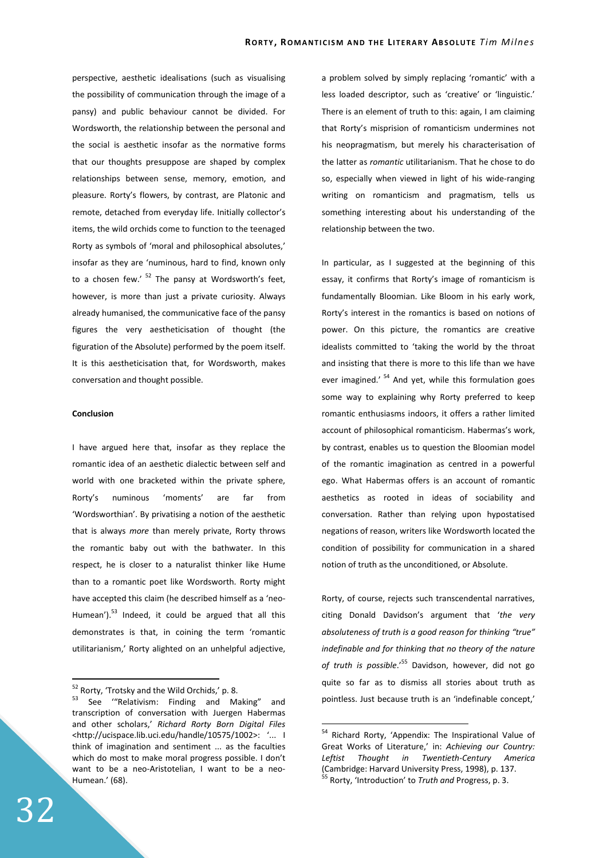perspective, aesthetic idealisations (such as visualising the possibility of communication through the image of a pansy) and public behaviour cannot be divided. For Wordsworth, the relationship between the personal and the social is aesthetic insofar as the normative forms that our thoughts presuppose are shaped by complex relationships between sense, memory, emotion, and pleasure. Rorty's flowers, by contrast, are Platonic and remote, detached from everyday life. Initially collector's items, the wild orchids come to function to the teenaged Rorty as symbols of 'moral and philosophical absolutes,' insofar as they are 'numinous, hard to find, known only to a chosen few.'  $52$  The pansy at Wordsworth's feet, however, is more than just a private curiosity. Always already humanised, the communicative face of the pansy figures the very aestheticisation of thought (the figuration of the Absolute) performed by the poem itself. It is this aestheticisation that, for Wordsworth, makes conversation and thought possible.

#### **Conclusion**

I have argued here that, insofar as they replace the romantic idea of an aesthetic dialectic between self and world with one bracketed within the private sphere. Rorty's numinous 'moments' are far from 'Wordsworthian'. By privatising a notion of the aesthetic that is always *more* than merely private, Rorty throws the romantic baby out with the bathwater. In this respect, he is closer to a naturalist thinker like Hume than to a romantic poet like Wordsworth. Rorty might have accepted this claim (he described himself as a 'neo-Humean'). $53$  Indeed, it could be argued that all this demonstrates is that, in coining the term 'romantic utilitarianism,' Rorty alighted on an unhelpful adjective,

 $^{52}$  Rorty, 'Trotsky and the Wild Orchids,' p. 8.<br> $^{53}$  See ("Relativisms Finding and M

a problem solved by simply replacing 'romantic' with a less loaded descriptor, such as 'creative' or 'linguistic.' There is an element of truth to this: again, I am claiming that Rorty's misprision of romanticism undermines not his neopragmatism, but merely his characterisation of the latter as *romantic* utilitarianism. That he chose to do so, especially when viewed in light of his wide-ranging writing on romanticism and pragmatism, tells us something interesting about his understanding of the relationship between the two.

In particular, as I suggested at the beginning of this essay, it confirms that Rorty's image of romanticism is fundamentally Bloomian. Like Bloom in his early work, Rorty's interest in the romantics is based on notions of power. On this picture, the romantics are creative idealists committed to 'taking the world by the throat and insisting that there is more to this life than we have ever imagined.<sup>' 54</sup> And yet, while this formulation goes some way to explaining why Rorty preferred to keep romantic enthusiasms indoors, it offers a rather limited account of philosophical romanticism. Habermas's work, by contrast, enables us to question the Bloomian model of the romantic imagination as centred in a powerful ego. What Habermas offers is an account of romantic aesthetics as rooted in ideas of sociability and conversation. Rather than relying upon hypostatised negations of reason, writers like Wordsworth located the condition of possibility for communication in a shared notion of truth as the unconditioned, or Absolute.

Rorty, of course, rejects such transcendental narratives, citing Donald Davidson's argument that '*the very absoluteness of truth is a good reason for thinking "true" indefinable and for thinking that no theory of the nature of truth is possible*.'<sup>55</sup> Davidson, however, did not go quite so far as to dismiss all stories about truth as pointless. Just because truth is an 'indefinable concept,'

 $\overline{a}$ 

See "Relativism: Finding and Making" and transcription of conversation with Juergen Habermas and other scholars,' *Richard Rorty Born Digital Files* <http://ucispace.lib.uci.edu/handle/10575/1002>: '... I think of imagination and sentiment ... as the faculties which do most to make moral progress possible. I don't want to be a neo-Aristotelian, I want to be a neo-Humean.' (68).

<sup>&</sup>lt;sup>54</sup> Richard Rorty, 'Appendix: The Inspirational Value of Great Works of Literature,' in: *Achieving our Country: Leftist Thought in Twentieth-Century America* (Cambridge: Harvard University Press, 1998), p. 137. <sup>55</sup> Rorty, 'Introduction' to *Truth and* Progress, p. 3.